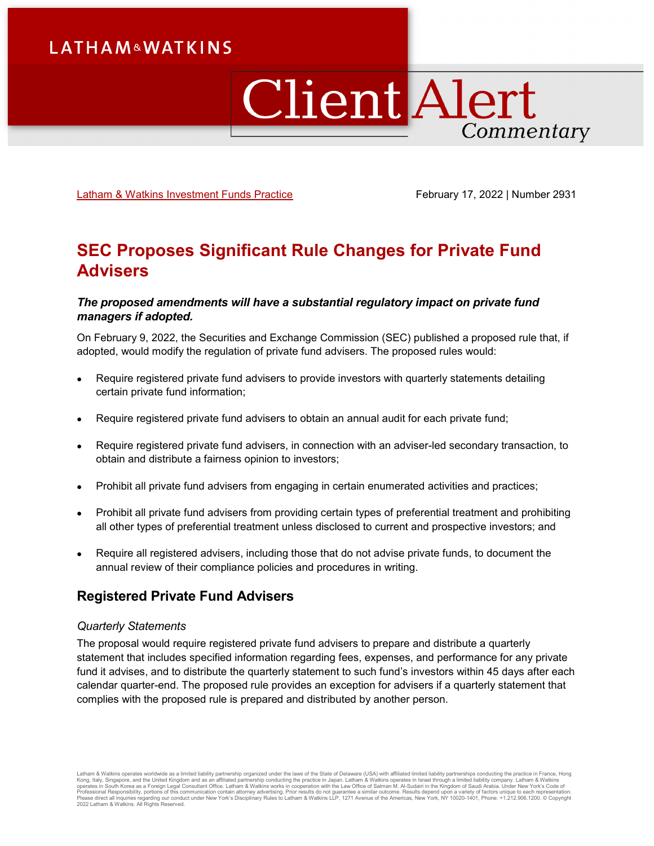# **LATHAM&WATKINS**

# **Client Alert** Commentary

[Latham & Watkins Investment Funds Practice](https://www.lw.com/practices/InvestmentFunds) February 17, 2022 | Number 2931

# **SEC Proposes Significant Rule Changes for Private Fund Advisers**

#### *The proposed amendments will have a substantial regulatory impact on private fund managers if adopted.*

On February 9, 2022, the Securities and Exchange Commission (SEC) published a proposed rule that, if adopted, would modify the regulation of private fund advisers. The proposed rules would:

- Require registered private fund advisers to provide investors with quarterly statements detailing certain private fund information;
- Require registered private fund advisers to obtain an annual audit for each private fund;
- Require registered private fund advisers, in connection with an adviser-led secondary transaction, to obtain and distribute a fairness opinion to investors;
- Prohibit all private fund advisers from engaging in certain enumerated activities and practices;
- Prohibit all private fund advisers from providing certain types of preferential treatment and prohibiting all other types of preferential treatment unless disclosed to current and prospective investors; and
- Require all registered advisers, including those that do not advise private funds, to document the annual review of their compliance policies and procedures in writing.

# **Registered Private Fund Advisers**

#### *Quarterly Statements*

The proposal would require registered private fund advisers to prepare and distribute a quarterly statement that includes specified information regarding fees, expenses, and performance for any private fund it advises, and to distribute the quarterly statement to such fund's investors within 45 days after each calendar quarter-end. The proposed rule provides an exception for advisers if a quarterly statement that complies with the proposed rule is prepared and distributed by another person.

Latham & Watkins operates worldwide as a limited liability partnership organized under the laws of the State of Delaware (USA) with affiliated limited liability partnerships conducting the practice in France, Hong Kong, Italy, Singapore, and the United Kingdom and as an affiliated partnership conducting the practice in Japan. Latham & Watkins operates in Israel through a limited liability company. Latham & Watkins<br>operates in South 2022 Latham & Watkins. All Rights Reserved.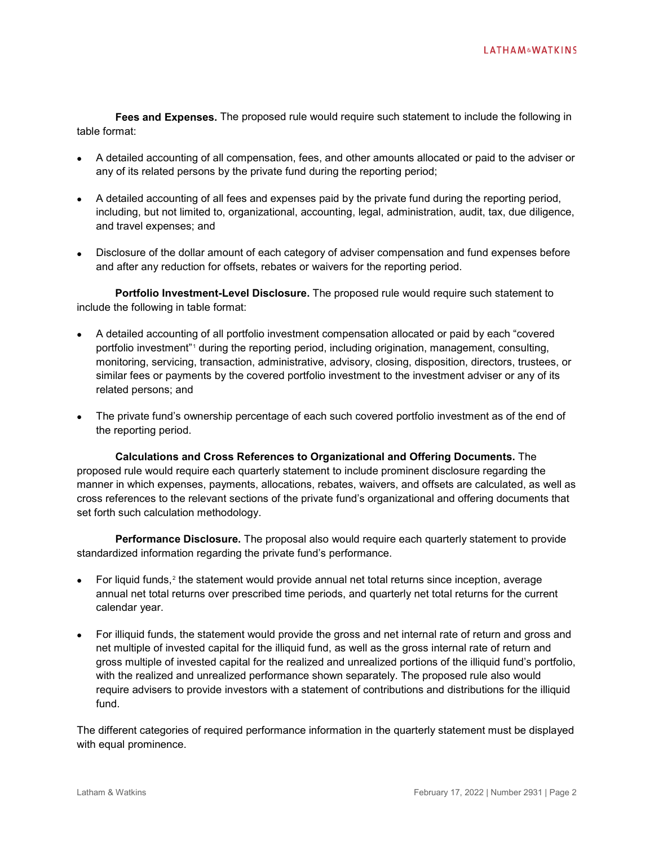**Fees and Expenses.** The proposed rule would require such statement to include the following in table format:

- A detailed accounting of all compensation, fees, and other amounts allocated or paid to the adviser or any of its related persons by the private fund during the reporting period;
- A detailed accounting of all fees and expenses paid by the private fund during the reporting period, including, but not limited to, organizational, accounting, legal, administration, audit, tax, due diligence, and travel expenses; and
- Disclosure of the dollar amount of each category of adviser compensation and fund expenses before and after any reduction for offsets, rebates or waivers for the reporting period.

**Portfolio Investment-Level Disclosure.** The proposed rule would require such statement to include the following in table format:

- A detailed accounting of all portfolio investment compensation allocated or paid by each "covered portfolio investment"<sup>[1](#page-4-0)</sup> during the reporting period, including origination, management, consulting, monitoring, servicing, transaction, administrative, advisory, closing, disposition, directors, trustees, or similar fees or payments by the covered portfolio investment to the investment adviser or any of its related persons; and
- The private fund's ownership percentage of each such covered portfolio investment as of the end of the reporting period.

**Calculations and Cross References to Organizational and Offering Documents.** The proposed rule would require each quarterly statement to include prominent disclosure regarding the manner in which expenses, payments, allocations, rebates, waivers, and offsets are calculated, as well as cross references to the relevant sections of the private fund's organizational and offering documents that set forth such calculation methodology.

**Performance Disclosure.** The proposal also would require each quarterly statement to provide standardized information regarding the private fund's performance.

- For liquid funds, $2$  the statement would provide annual net total returns since inception, average annual net total returns over prescribed time periods, and quarterly net total returns for the current calendar year.
- For illiquid funds, the statement would provide the gross and net internal rate of return and gross and net multiple of invested capital for the illiquid fund, as well as the gross internal rate of return and gross multiple of invested capital for the realized and unrealized portions of the illiquid fund's portfolio, with the realized and unrealized performance shown separately. The proposed rule also would require advisers to provide investors with a statement of contributions and distributions for the illiquid fund.

The different categories of required performance information in the quarterly statement must be displayed with equal prominence.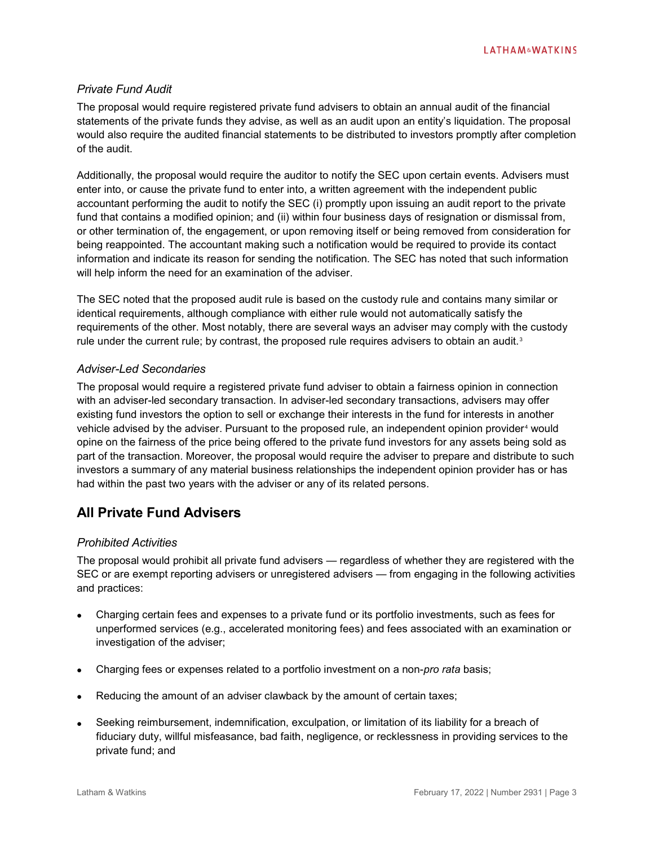#### *Private Fund Audit*

The proposal would require registered private fund advisers to obtain an annual audit of the financial statements of the private funds they advise, as well as an audit upon an entity's liquidation. The proposal would also require the audited financial statements to be distributed to investors promptly after completion of the audit.

Additionally, the proposal would require the auditor to notify the SEC upon certain events. Advisers must enter into, or cause the private fund to enter into, a written agreement with the independent public accountant performing the audit to notify the SEC (i) promptly upon issuing an audit report to the private fund that contains a modified opinion; and (ii) within four business days of resignation or dismissal from, or other termination of, the engagement, or upon removing itself or being removed from consideration for being reappointed. The accountant making such a notification would be required to provide its contact information and indicate its reason for sending the notification. The SEC has noted that such information will help inform the need for an examination of the adviser.

The SEC noted that the proposed audit rule is based on the custody rule and contains many similar or identical requirements, although compliance with either rule would not automatically satisfy the requirements of the other. Most notably, there are several ways an adviser may comply with the custody rule under the current rule; by contrast, the proposed rule requires advisers to obtain an audit.<sup>[3](#page-4-2)</sup>

#### *Adviser-Led Secondaries*

The proposal would require a registered private fund adviser to obtain a fairness opinion in connection with an adviser-led secondary transaction. In adviser-led secondary transactions, advisers may offer existing fund investors the option to sell or exchange their interests in the fund for interests in another vehicle advised by the adviser. Pursuant to the proposed rule, an independent opinion provider<sup>[4](#page-4-3)</sup> would opine on the fairness of the price being offered to the private fund investors for any assets being sold as part of the transaction. Moreover, the proposal would require the adviser to prepare and distribute to such investors a summary of any material business relationships the independent opinion provider has or has had within the past two years with the adviser or any of its related persons.

# **All Private Fund Advisers**

#### *Prohibited Activities*

The proposal would prohibit all private fund advisers — regardless of whether they are registered with the SEC or are exempt reporting advisers or unregistered advisers — from engaging in the following activities and practices:

- Charging certain fees and expenses to a private fund or its portfolio investments, such as fees for unperformed services (e.g., accelerated monitoring fees) and fees associated with an examination or investigation of the adviser;
- Charging fees or expenses related to a portfolio investment on a non-*pro rata* basis;
- Reducing the amount of an adviser clawback by the amount of certain taxes;
- Seeking reimbursement, indemnification, exculpation, or limitation of its liability for a breach of fiduciary duty, willful misfeasance, bad faith, negligence, or recklessness in providing services to the private fund; and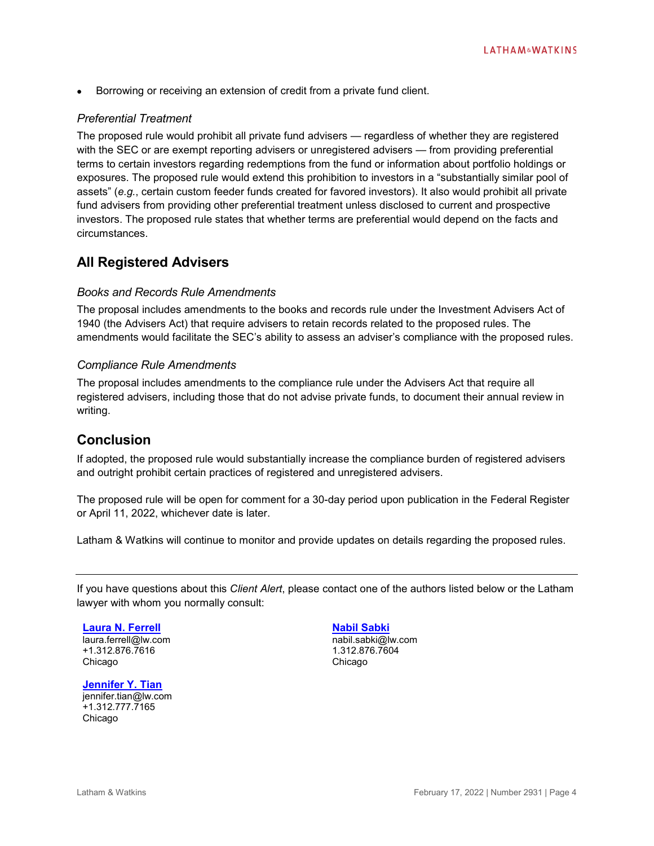• Borrowing or receiving an extension of credit from a private fund client.

#### *Preferential Treatment*

The proposed rule would prohibit all private fund advisers — regardless of whether they are registered with the SEC or are exempt reporting advisers or unregistered advisers — from providing preferential terms to certain investors regarding redemptions from the fund or information about portfolio holdings or exposures. The proposed rule would extend this prohibition to investors in a "substantially similar pool of assets" (*e.g.*, certain custom feeder funds created for favored investors). It also would prohibit all private fund advisers from providing other preferential treatment unless disclosed to current and prospective investors. The proposed rule states that whether terms are preferential would depend on the facts and circumstances.

### **All Registered Advisers**

#### *Books and Records Rule Amendments*

The proposal includes amendments to the books and records rule under the Investment Advisers Act of 1940 (the Advisers Act) that require advisers to retain records related to the proposed rules. The amendments would facilitate the SEC's ability to assess an adviser's compliance with the proposed rules.

#### *Compliance Rule Amendments*

The proposal includes amendments to the compliance rule under the Advisers Act that require all registered advisers, including those that do not advise private funds, to document their annual review in writing.

## **Conclusion**

If adopted, the proposed rule would substantially increase the compliance burden of registered advisers and outright prohibit certain practices of registered and unregistered advisers.

The proposed rule will be open for comment for a 30-day period upon publication in the Federal Register or April 11, 2022, whichever date is later.

Latham & Watkins will continue to monitor and provide updates on details regarding the proposed rules.

If you have questions about this *Client Alert*, please contact one of the authors listed below or the Latham lawyer with whom you normally consult:

**[Laura N. Ferrell](https://www.lw.com/people/laura-ferrell)** laura.ferrell@lw.com +1.312.876.7616 Chicago

**[Jennifer Y. Tian](https://www.lw.com/people/jennifer-tian)** jennifer.tian@lw.com +1.312.777.7165 Chicago

**[Nabil Sabki](https://www.lw.com/people/nabil-sabki)**

nabil.sabki@lw.com 1.312.876.7604 Chicago